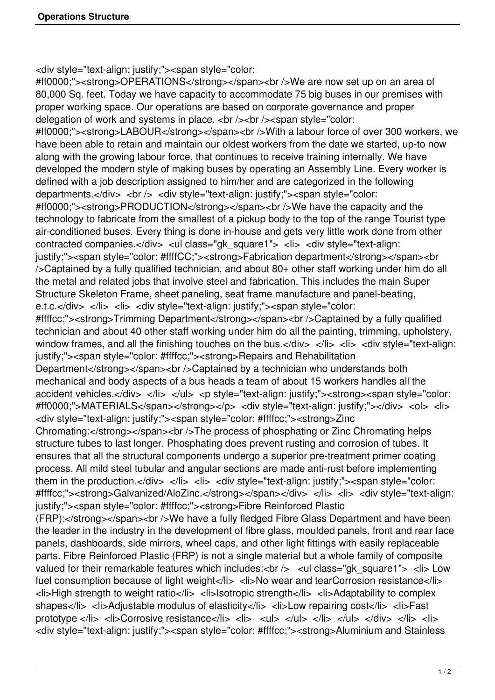<div style="text-align: justify;"><span style="color:

#ff0000;"><strong>OPERATIONS</strong></span><br />>>>>>We are now set up on an area of 80,000 Sq. feet. Today we have capacity to accommodate 75 big buses in our premises with proper working space. Our operations are based on corporate governance and proper delegation of work and systems in place. <br />>> /><br />><span style="color: #ff0000;"><strong>LABOUR</strong></span><br />br />With a labour force of over 300 workers, we have been able to retain and maintain our oldest workers from the date we started, up-to now along with the growing labour force, that continues to receive training internally. We have developed the modern style of making buses by operating an Assembly Line. Every worker is defined with a job description assigned to him/her and are categorized in the following departments.</div> <br />> <div style="text-align: justify;"><span style="color: #ff0000;"><strong>PRODUCTION</strong></span><br />We have the capacity and the technology to fabricate from the smallest of a pickup body to the top of the range Tourist type air-conditioned buses. Every thing is done in-house and gets very little work done from other contracted companies.</div> <ul class="gk\_square1"> <li> <div style="text-align: justify;"><span style="color: #ffffCC;"><strong>Fabrication department</strong></span><br/>>br />Captained by a fully qualified technician, and about 80+ other staff working under him do all the metal and related jobs that involve steel and fabrication. This includes the main Super Structure Skeleton Frame, sheet paneling, seat frame manufacture and panel-beating,

e.t.c.</div> </li> <li> <div style="text-align: justify;"><span style="color:

#ffffcc;"><strong>Trimming Department</strong></span><br />Captained by a fully qualified technician and about 40 other staff working under him do all the painting, trimming, upholstery, window frames, and all the finishing touches on the bus. $\langle$ div>  $\langle$ li>  $\langle$ li>  $\langle$ div style="text-align: justify;"><span style="color: #ffffcc;"><strong>Repairs and Rehabilitation

Department</strong></span><br />br />Captained by a technician who understands both mechanical and body aspects of a bus heads a team of about 15 workers handles all the accident vehicles.</div> </li> </ul> <p style="text-align: justify;"><strong><span style="color: #ff0000;">MATERIALS</span></strong></p> <div style="text-align: justify;"></div> <ol> <li> <div style="text-align: justify;"><span style="color: #ffffcc;"><strong>Zinc

Chromating:</strong></span><br />>>>>>The process of phosphating or Zinc Chromating helps structure tubes to last longer. Phosphating does prevent rusting and corrosion of tubes. It ensures that all the structural components undergo a superior pre-treatment primer coating process. All mild steel tubular and angular sections are made anti-rust before implementing them in the production.</div> </li> <li> <div style="text-align: justify;"><span style="color: #ffffcc;"><strong>Galvanized/AloZinc.</strong></span></div> </li> <li> <div style="text-align: justify;"><span style="color: #ffffcc;"><strong>Fibre Reinforced Plastic

(FRP):</strong></span><br />>>>>>We have a fully fledged Fibre Glass Department and have been the leader in the industry in the development of fibre glass, moulded panels, front and rear face panels, dashboards, side mirrors, wheel caps, and other light fittings with easily replaceable parts. Fibre Reinforced Plastic (FRP) is not a single material but a whole family of composite valued for their remarkable features which includes:<br />> <ul class="gk\_square1"> <li> Low fuel consumption because of light weight</li> <li>No wear and tearCorrosion resistance</li> <li>High strength to weight ratio</li> <li>Isotropic strength</li> <li>Adaptability to complex shapes</li> <li>Adjustable modulus of elasticity</li> <li>Low repairing cost</li> <li>Fast prototype </li> <li>Corrosive resistance</li> <li> <lu> </ul> </li> </ul> </ul> </div> </li> <li> <div style="text-align: justify;"><span style="color: #ffffcc;"><strong>Aluminium and Stainless